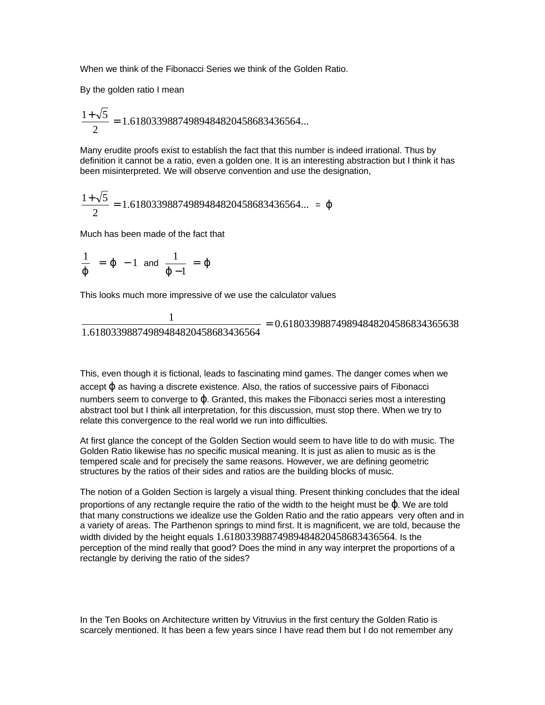When we think of the Fibonacci Series we think of the Golden Ratio.

By the golden ratio I mean

$$
\frac{1+\sqrt{5}}{2}=1.61803398874989484820458683436564...
$$

Many erudite proofs exist to establish the fact that this number is indeed irrational. Thus by definition it cannot be a ratio, even a golden one. It is an interesting abstraction but I think it has been misinterpreted. We will observe convention and use the designation,

$$
\frac{1+\sqrt{5}}{2} = 1.61803398874989484820458683436564... = \varphi
$$

Much has been made of the fact that

$$
\frac{1}{j} = j - 1
$$
 and  $\frac{1}{j-1} = j$ 

This looks much more impressive of we use the calculator values

$$
\frac{1}{1.61803398874989484820458683436564} = 0.618033988749894848204586834365638
$$

This, even though it is fictional, leads to fascinating mind games. The danger comes when we accept ϕ as having a discrete existence. Also, the ratios of successive pairs of Fibonacci numbers seem to converge to ϕ. Granted, this makes the Fibonacci series most a interesting abstract tool but I think all interpretation, for this discussion, must stop there. When we try to relate this convergence to the real world we run into difficulties.

At first glance the concept of the Golden Section would seem to have litle to do with music. The Golden Ratio likewise has no specific musical meaning. It is just as alien to music as is the tempered scale and for precisely the same reasons. However, we are defining geometric structures by the ratios of their sides and ratios are the building blocks of music.

The notion of a Golden Section is largely a visual thing. Present thinking concludes that the ideal proportions of any rectangle require the ratio of the width to the height must be ϕ. We are told that many constructions we idealize use the Golden Ratio and the ratio appears very often and in a variety of areas. The Parthenon springs to mind first. It is magnificent, we are told, because the width divided by the height equals 1.61803398874989484820458683436564. Is the perception of the mind really that good? Does the mind in any way interpret the proportions of a rectangle by deriving the ratio of the sides?

In the Ten Books on Architecture written by Vitruvius in the first century the Golden Ratio is scarcely mentioned. It has been a few years since I have read them but I do not remember any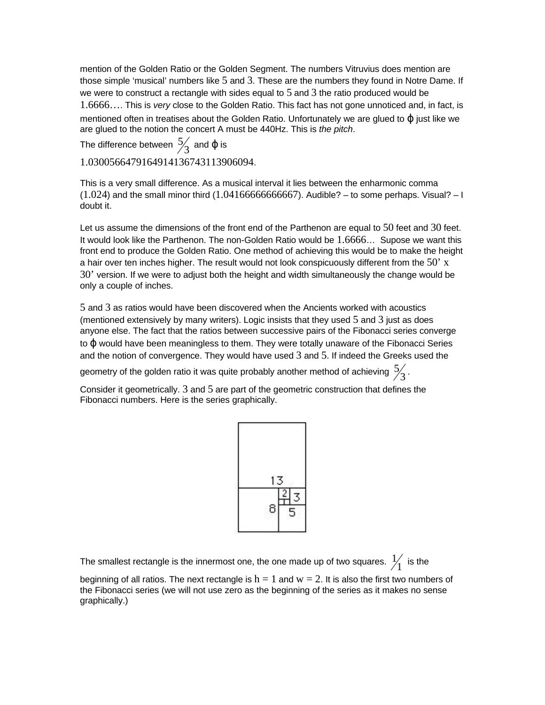mention of the Golden Ratio or the Golden Segment. The numbers Vitruvius does mention are those simple 'musical' numbers like 5 and 3. These are the numbers they found in Notre Dame. If we were to construct a rectangle with sides equal to  $5$  and  $3$  the ratio produced would be 1.6666…. This is *very* close to the Golden Ratio. This fact has not gone unnoticed and, in fact, is mentioned often in treatises about the Golden Ratio. Unfortunately we are glued to φ just like we are glued to the notion the concert A must be 440Hz. This is *the pitch*.

The difference between  $\frac{5}{3}$  and  $\phi$  is 1.0300566479164914136743113906094.

This is a very small difference. As a musical interval it lies between the enharmonic comma  $(1.024)$  and the small minor third  $(1.0416666666667)$ . Audible? – to some perhaps. Visual? – I doubt it.

Let us assume the dimensions of the front end of the Parthenon are equal to 50 feet and 30 feet. It would look like the Parthenon. The non-Golden Ratio would be 1.6666… Supose we want this front end to produce the Golden Ratio. One method of achieving this would be to make the height a hair over ten inches higher. The result would not look conspicuously different from the  $50'$  x 30' version. If we were to adjust both the height and width simultaneously the change would be only a couple of inches.

5 and 3 as ratios would have been discovered when the Ancients worked with acoustics (mentioned extensively by many writers). Logic insists that they used 5 and 3 just as does anyone else. The fact that the ratios between successive pairs of the Fibonacci series converge to Φ would have been meaningless to them. They were totally unaware of the Fibonacci Series and the notion of convergence. They would have used 3 and 5. If indeed the Greeks used the

geometry of the golden ratio it was quite probably another method of achieving  $\frac{5}{3}$  .

Consider it geometrically. 3 and 5 are part of the geometric construction that defines the Fibonacci numbers. Here is the series graphically.

| 8 |  |
|---|--|
|   |  |

The smallest rectangle is the innermost one, the one made up of two squares.  $\frac{1}{1}$  is the

beginning of all ratios. The next rectangle is  $h = 1$  and  $w = 2$ . It is also the first two numbers of the Fibonacci series (we will not use zero as the beginning of the series as it makes no sense graphically.)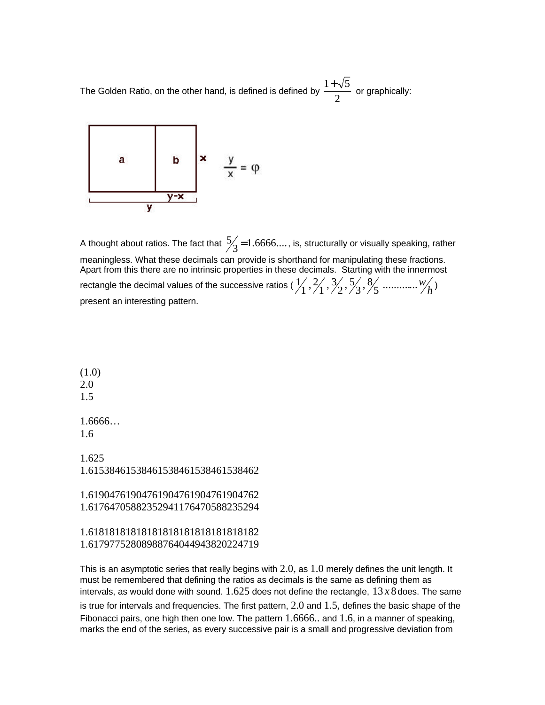The Golden Ratio, on the other hand, is defined is defined by 2  $\frac{1+\sqrt{5}}{2}$  or graphically:



A thought about ratios. The fact that  $\frac{5}{3}$  = 1.6666...., is, structurally or visually speaking, rather meaningless. What these decimals can provide is shorthand for manipulating these fractions. Apart from this there are no intrinsic properties in these decimals. Starting with the innermost rectangle the decimal values of the successive ratios (  $\frac{1}{1}$ ,  $\frac{2}{1}$ ,  $\frac{3}{2}$ ,  $\frac{5}{3}$ ,  $\frac{8}{5}$  .............. $w'_h$ ) present an interesting pattern.

(1.0) 2.0 1.5 1.6666… 1.6 1.625 1.61538461538461538461538461538462 1.61904761904761904761904761904762 1.61764705882352941176470588235294

1.61818181818181818181818181818182 1.61797752808988764044943820224719

This is an asymptotic series that really begins with  $2.0$ , as  $1.0$  merely defines the unit length. It must be remembered that defining the ratios as decimals is the same as defining them as intervals, as would done with sound.  $1.625$  does not define the rectangle,  $13 x 8$  does. The same is true for intervals and frequencies. The first pattern,  $2.0$  and  $1.5$ , defines the basic shape of the Fibonacci pairs, one high then one low. The pattern 1.6666.. and 1.6, in a manner of speaking, marks the end of the series, as every successive pair is a small and progressive deviation from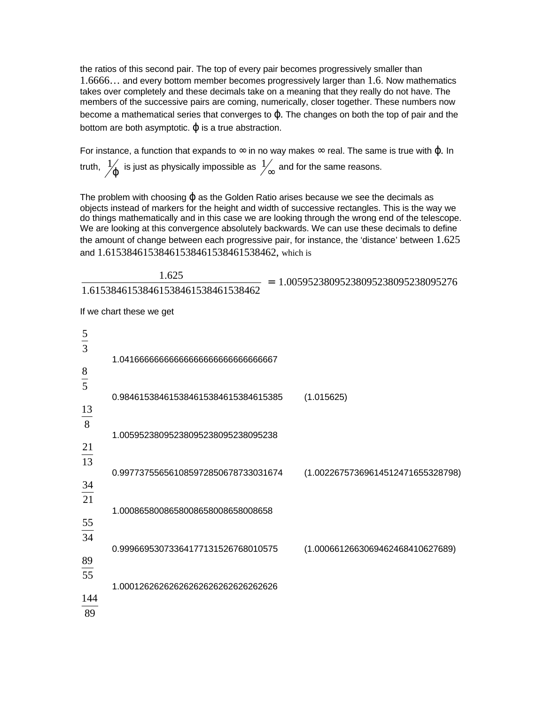the ratios of this second pair. The top of every pair becomes progressively smaller than 1.6666… and every bottom member becomes progressively larger than 1.6. Now mathematics takes over completely and these decimals take on a meaning that they really do not have. The members of the successive pairs are coming, numerically, closer together. These numbers now become a mathematical series that converges to ϕ. The changes on both the top of pair and the bottom are both asymptotic.  $\varphi$  is a true abstraction.

For instance, a function that expands to  $\infty$  in no way makes  $\infty$  real. The same is true with  $\varphi$ . In truth,  $\frac{1}{J}$  is just as physically impossible as  $\frac{1}{\infty}$  and for the same reasons.

The problem with choosing  $\omega$  as the Golden Ratio arises because we see the decimals as objects instead of markers for the height and width of successive rectangles. This is the way we do things mathematically and in this case we are looking through the wrong end of the telescope. We are looking at this convergence absolutely backwards. We can use these decimals to define the amount of change between each progressive pair, for instance, the 'distance' between  $1.625$ and 1.61538461538461538461538461538462, which is

1.00595238095238095238095238095276 1.61538461538461538461538461538462  $\frac{1.625}{1.526 \times 1.536 \times 1.536 \times 1.536 \times 1.536 \times 1.536 \times 1.536 \times 1.536 \times 1.536 \times 1.536 \times 1.536 \times 1.536 \times 1.536 \times 1.536 \times 1.536 \times 1.536 \times 1.536 \times 1.536 \times 1.536 \times 1.536 \times 1.536 \times 1.536 \times 1.536 \times 1.536 \times 1.536 \times 1.536 \times 1.5$ 

If we chart these we get

| $rac{5}{3}$   |                                     |                                   |
|---------------|-------------------------------------|-----------------------------------|
|               | 1.0416666666666666666666666666667   |                                   |
| $\frac{8}{1}$ |                                     |                                   |
| 5             |                                     |                                   |
| 13            | 0.984615384615384615384615384615385 | (1.015625)                        |
| 8             |                                     |                                   |
| 21            | 1.00595238095238095238095238095238  |                                   |
| 13            |                                     |                                   |
|               | 0.997737556561085972850678733031674 | (1.00226757369614512471655328798) |
| 34<br>21      |                                     |                                   |
|               | 1.0008658008658008658008658008658   |                                   |
| 55            |                                     |                                   |
| 34            | 0.99966953073364177131526768010575  | (1.0006612663069462468410627689)  |
| 89            |                                     |                                   |
| 55            |                                     |                                   |
| 144           | 1.00012626262626262626262626262626  |                                   |
| 89            |                                     |                                   |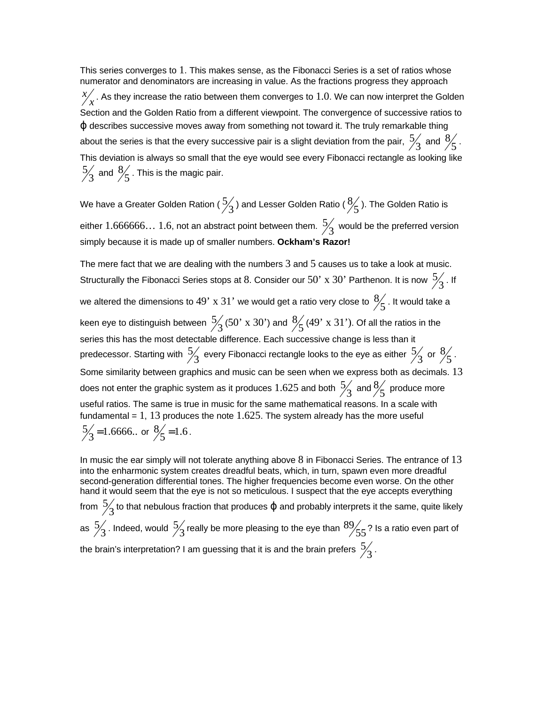This series converges to 1. This makes sense, as the Fibonacci Series is a set of ratios whose numerator and denominators are increasing in value. As the fractions progress they approach  $\chi^{\chi}_{\chi}$ . As they increase the ratio between them converges to  $1.0$ . We can now interpret the Golden Section and the Golden Ratio from a different viewpoint. The convergence of successive ratios to ϕ describes successive moves away from something not toward it. The truly remarkable thing about the series is that the every successive pair is a slight deviation from the pair,  $\frac{5}{3}$  and  $\frac{8}{5}$ . This deviation is always so small that the eye would see every Fibonacci rectangle as looking like  $\frac{5}{3}$  and  $\frac{8}{5}$  . This is the magic pair.

We have a Greater Golden Ration (  $\frac{5}{3}$  ) and Lesser Golden Ratio (  $\frac{8}{5}$  ). The Golden Ratio is either  $1.666666...$   $1.6$ , not an abstract point between them.  $\frac{5}{3}$  would be the preferred version simply because it is made up of smaller numbers. **Ockham's Razor!**

The mere fact that we are dealing with the numbers 3 and 5 causes us to take a look at music. Structurally the Fibonacci Series stops at 8. Consider our 50' x 30' Parthenon. It is now  $\frac{5}{3}$  . If we altered the dimensions to  $49^{\circ}$  x  $31^{\circ}$  we would get a ratio very close to  $\frac{8}{5}$  . It would take a keen eye to distinguish between  $\frac{5}{3}$  (50' x 30') and  $\frac{8}{5}$  (49' x 31'). Of all the ratios in the series this has the most detectable difference. Each successive change is less than it predecessor. Starting with  $\frac{5}{3}$  every Fibonacci rectangle looks to the eye as either  $\frac{5}{3}$  or  $\frac{8}{5}$ . Some similarity between graphics and music can be seen when we express both as decimals. 13 does not enter the graphic system as it produces  $1.625$  and both  $\frac{5}{3}$  and  $\frac{8}{5}$  produce more useful ratios. The same is true in music for the same mathematical reasons. In a scale with fundamental =  $1, 13$  produces the note  $1.625$ . The system already has the more useful  $\frac{5}{3}$ =1.6666.. or  $\frac{8}{5}$ =1.6.

In music the ear simply will not tolerate anything above 8 in Fibonacci Series. The entrance of 13 into the enharmonic system creates dreadful beats, which, in turn, spawn even more dreadful second-generation differential tones. The higher frequencies become even worse. On the other hand it would seem that the eye is not so meticulous. I suspect that the eye accepts everything from  $\frac{5}{3}$  to that nebulous fraction that produces φ and probably interprets it the same, quite likely

as  $\frac{5}{3}$  . Indeed, would  $\frac{5}{3}$  really be more pleasing to the eye than  $\frac{89}{55}$ ? Is a ratio even part of the brain's interpretation? I am guessing that it is and the brain prefers  $\frac{5}{3}$  .